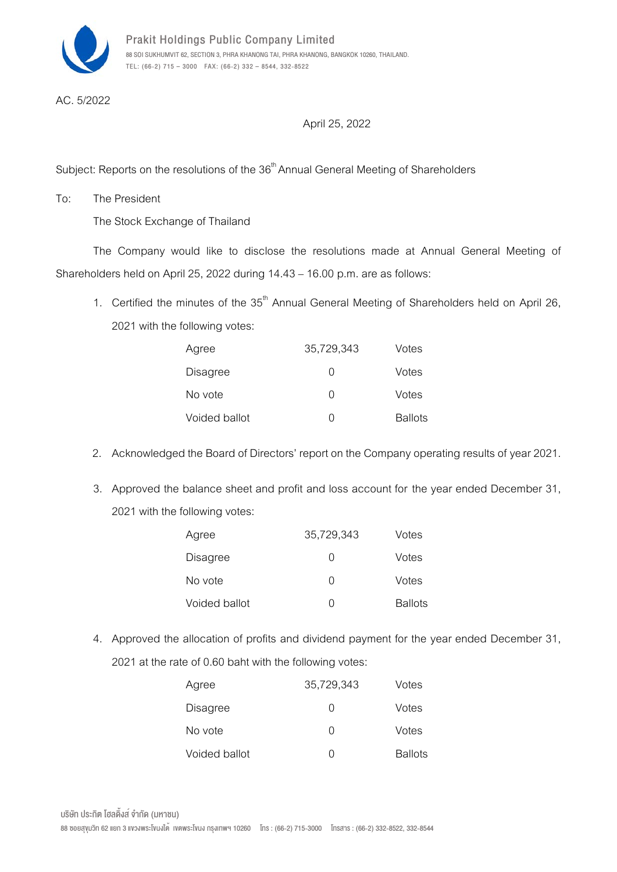

AC. 5/2022

## April 25, 2022

Subject: Reports on the resolutions of the  $36^{\mathsf{th}}$ Annual General Meeting of Shareholders

To: The President

The Stock Exchange of Thailand

The Company would like to disclose the resolutions made at Annual General Meeting of Shareholders held on April 25, 2022 during 14.43 - 16.00 p.m. are as follows:

1. Certified the minutes of the  $35<sup>th</sup>$  Annual General Meeting of Shareholders held on April 26, 2021 with the following votes:

| Agree         | 35,729,343       | Votes          |
|---------------|------------------|----------------|
| Disagree      | $\left( \right)$ | Votes          |
| No vote       | O                | Votes          |
| Voided ballot | O                | <b>Ballots</b> |

- 2. Acknowledged the Board of Directors' report on the Company operating results of year 2021.
- 3. Approved the balance sheet and profit and loss account for the year ended December 31, 2021 with the following votes:

| Agree           | 35,729,343       | Votes          |
|-----------------|------------------|----------------|
| <b>Disagree</b> | $\left( \right)$ | Votes          |
| No vote         | $\left( \right)$ | Votes          |
| Voided ballot   | $\left( \right)$ | <b>Ballots</b> |

4. Approved the allocation of profits and dividend payment for the year ended December 31, 2021 at the rate of 0.60 baht with the following votes:

| Agree           | 35,729,343       | Votes          |
|-----------------|------------------|----------------|
| <b>Disagree</b> | O                | Votes          |
| No vote         | O                | Votes          |
| Voided ballot   | $\left( \right)$ | <b>Ballots</b> |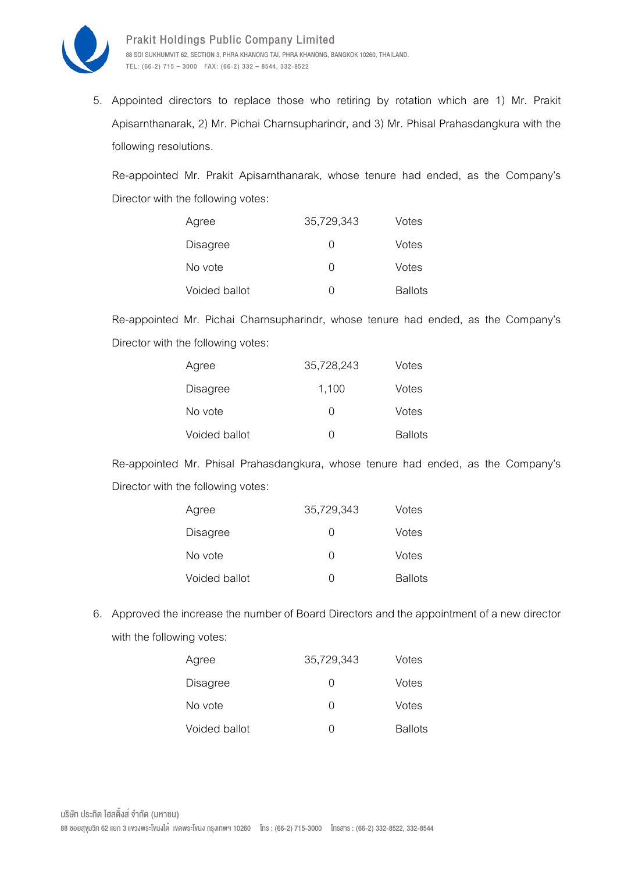

5. Appointed directors to replace those who retiring by rotation which are 1) Mr. Prakit Apisarnthanarak, 2) Mr. Pichai Charnsupharindr, and 3) Mr. Phisal Prahasdangkura with the following resolutions.

Re-appointed Mr. Prakit Apisarnthanarak, whose tenure had ended, as the Company's Director with the following votes:

| Agree           | 35,729,343       | Votes          |
|-----------------|------------------|----------------|
| <b>Disagree</b> | $\left( \right)$ | Votes          |
| No vote         | $\left( \right)$ | Votes          |
| Voided ballot   | $\left( \right)$ | <b>Ballots</b> |

Re-appointed Mr. Pichai Charnsupharindr, whose tenure had ended, as the Company's Director with the following votes:

| Agree           | 35,728,243       | Votes          |
|-----------------|------------------|----------------|
| <b>Disagree</b> | 1,100            | Votes          |
| No vote         | $\left( \right)$ | Votes          |
| Voided ballot   | $\left( \right)$ | <b>Ballots</b> |

Re-appointed Mr. Phisal Prahasdangkura, whose tenure had ended, as the Company's Director with the following votes:

| Agree           | 35,729,343       | Votes          |
|-----------------|------------------|----------------|
| <b>Disagree</b> | $\left( \right)$ | Votes          |
| No vote         | O                | Votes          |
| Voided ballot   | $\left( \right)$ | <b>Ballots</b> |

6. Approved the increase the number of Board Directors and the appointment of a new director with the following votes:

| Agree           | 35,729,343       | Votes          |
|-----------------|------------------|----------------|
| <b>Disagree</b> | O                | Votes          |
| No vote         | O                | Votes          |
| Voided ballot   | $\left( \right)$ | <b>Ballots</b> |